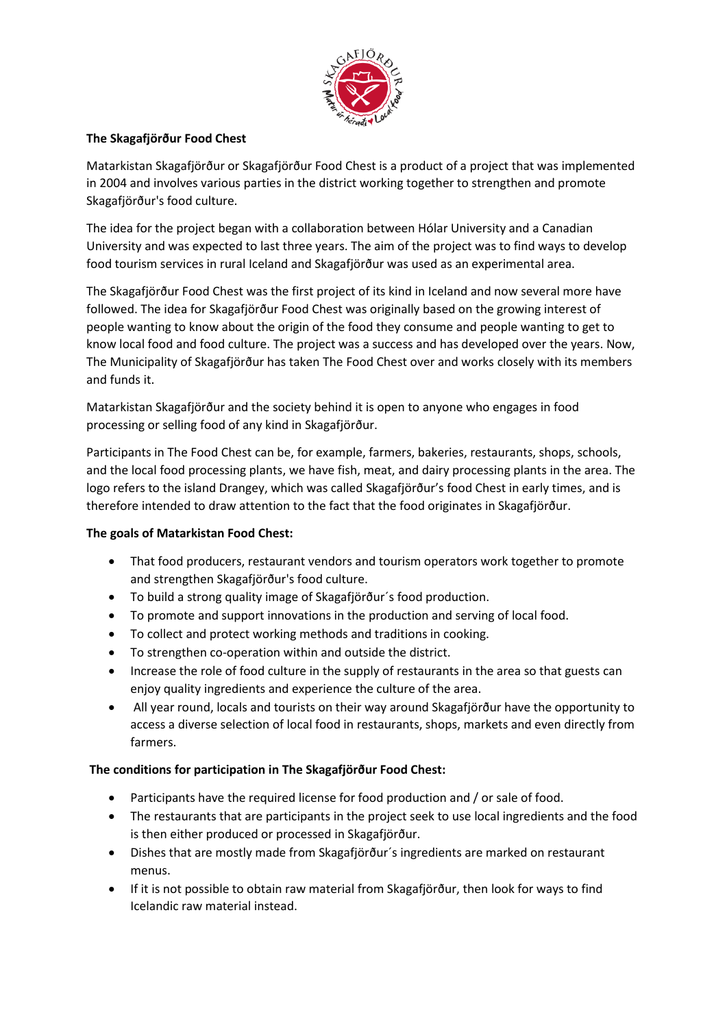

## **The Skagafjörður Food Chest**

Matarkistan Skagafjörður or Skagafjörður Food Chest is a product of a project that was implemented in 2004 and involves various parties in the district working together to strengthen and promote Skagafjörður's food culture.

The idea for the project began with a collaboration between Hólar University and a Canadian University and was expected to last three years. The aim of the project was to find ways to develop food tourism services in rural Iceland and Skagafjörður was used as an experimental area.

The Skagafjörður Food Chest was the first project of its kind in Iceland and now several more have followed. The idea for Skagafjörður Food Chest was originally based on the growing interest of people wanting to know about the origin of the food they consume and people wanting to get to know local food and food culture. The project was a success and has developed over the years. Now, The Municipality of Skagafjörður has taken The Food Chest over and works closely with its members and funds it.

Matarkistan Skagafjörður and the society behind it is open to anyone who engages in food processing or selling food of any kind in Skagafjörður.

Participants in The Food Chest can be, for example, farmers, bakeries, restaurants, shops, schools, and the local food processing plants, we have fish, meat, and dairy processing plants in the area. The logo refers to the island Drangey, which was called Skagafjörður's food Chest in early times, and is therefore intended to draw attention to the fact that the food originates in Skagafjörður.

## **The goals of Matarkistan Food Chest:**

- That food producers, restaurant vendors and tourism operators work together to promote and strengthen Skagafjörður's food culture.
- To build a strong quality image of Skagafjörður´s food production.
- To promote and support innovations in the production and serving of local food.
- To collect and protect working methods and traditions in cooking.
- To strengthen co-operation within and outside the district.
- Increase the role of food culture in the supply of restaurants in the area so that guests can enjoy quality ingredients and experience the culture of the area.
- All year round, locals and tourists on their way around Skagafjörður have the opportunity to access a diverse selection of local food in restaurants, shops, markets and even directly from farmers.

## **The conditions for participation in The Skagafjörður Food Chest:**

- Participants have the required license for food production and / or sale of food.
- The restaurants that are participants in the project seek to use local ingredients and the food is then either produced or processed in Skagafjörður.
- Dishes that are mostly made from Skagafjörður´s ingredients are marked on restaurant menus.
- If it is not possible to obtain raw material from Skagafjörður, then look for ways to find Icelandic raw material instead.